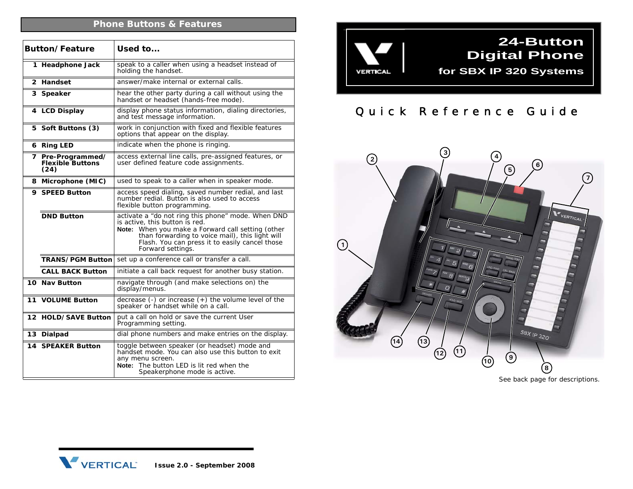## **Phone Buttons & Features**

| <b>Button/Feature</b> |                                                      | Used to                                                                                                                                                                                                                                                                |
|-----------------------|------------------------------------------------------|------------------------------------------------------------------------------------------------------------------------------------------------------------------------------------------------------------------------------------------------------------------------|
|                       | 1 Headphone Jack                                     | speak to a caller when using a headset instead of<br>holding the handset.                                                                                                                                                                                              |
|                       | 2 Handset                                            | answer/make internal or external calls.                                                                                                                                                                                                                                |
|                       | 3 Speaker                                            | hear the other party during a call without using the<br>handset or headset (hands-free mode).                                                                                                                                                                          |
|                       | 4 LCD Display                                        | display phone status information, dialing directories,<br>and test message information.                                                                                                                                                                                |
|                       | 5 Soft Buttons (3)                                   | work in conjunction with fixed and flexible features<br>options that appear on the display.                                                                                                                                                                            |
|                       | 6 Ring LED                                           | indicate when the phone is ringing.                                                                                                                                                                                                                                    |
|                       | 7 Pre-Programmed/<br><b>Flexible Buttons</b><br>(24) | access external line calls, pre-assigned features, or<br>user defined feature code assignments.                                                                                                                                                                        |
|                       | 8 Microphone (MIC)                                   | used to speak to a caller when in speaker mode.                                                                                                                                                                                                                        |
|                       | 9 SPEED Button                                       | access speed dialing, saved number redial, and last<br>number redial. Button is also used to access<br>flexible button programming.                                                                                                                                    |
|                       | <b>DND Button</b>                                    | activate a "do not ring this phone" mode. When DND<br>is active, this button is red.<br>When you make a Forward call setting (other<br>Note:<br>than forwarding to voice mail), this light will<br>Flash. You can press it to easily cancel those<br>Forward settings. |
|                       | <b>TRANS/PGM Button</b>                              | set up a conference call or transfer a call.                                                                                                                                                                                                                           |
|                       | <b>CALL BACK Button</b>                              | initiate a call back request for another busy station.                                                                                                                                                                                                                 |
|                       | 10 Nav Button                                        | navigate through (and make selections on) the<br>display/menus.                                                                                                                                                                                                        |
|                       | 11 VOLUME Button                                     | decrease $(-)$ or increase $(+)$ the volume level of the<br>speaker or handset while on a call.                                                                                                                                                                        |
|                       | 12 HOLD/SAVE Button                                  | put a call on hold or save the current User<br>Programming setting.                                                                                                                                                                                                    |
|                       | 13 Dialpad                                           | dial phone numbers and make entries on the display.                                                                                                                                                                                                                    |
|                       | <b>14 SPEAKER Button</b>                             | toggle between speaker (or headset) mode and<br>handset mode. You can also use this button to exit<br>any menu screen.<br><b>Note:</b> The button LED is lit red when the<br>Speakerphone mode is active.                                                              |



## Quick Reference Guide



*See back page for descriptions.*